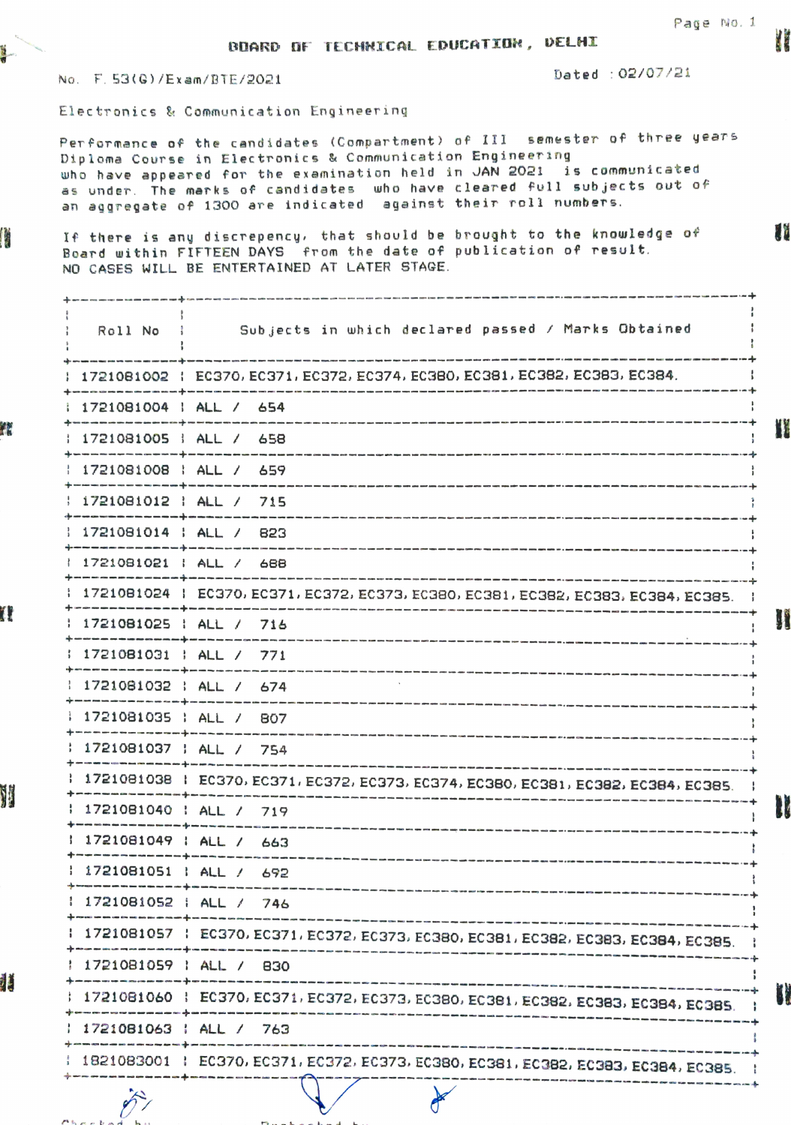Ūř

BDARD 0F TECHNICAL EDCATI0N, VELHI

No. F.53(G)/Exam/BTE/2021 2020 Dated: 02/07/21

Æ

T.

V

汇

Electronics & Communication Engineering

Per formance of the candidates (Compartment) of I1l semester of three years Diploma Course in Electronics & Communication Engineering who have appeared for the examination held in JAN 2021 is communicated who have appeared for the examination neid in OAN 2021 IS commonicated<br>as under. The marks of candidates who have cleared full subjects out of an aggregate of 1300 are indicated against their roll numbers.

If there is any disCrepency, that should be brought to the knowledge of Board within FIFTEEN DAYS from the date of publication of result. NO CASES WILL BE ENTERTAINED AT LATER STAGE.

Roll No ; Subjects in which declared passed / Marks Obtained 1721081002 EC370, EC371 EC372, EC374, EC380, EC 381. EC382. EC383, EC384. .<br>Han actor auto anto dha dani kito usah kito duki wati se<mark>t</mark>o kuno saka mua cabi akeo mato kapi dala toto poci eme ape ape kit 1721081004 | ALL / 654 tim und dies sols was halt nieu gas ges der Sin Kilk sogs der Alte met die agel 1971 was dels alles pass anti-mes des II 1721081005 | ALL / 658 1721081008 | ALL / 659 in was species was not also with the form and the state of the form that the state and was not 1721081012 | ALL / 715 1721081014 | ALL / 823 1721081021 | ALL / 688<br>------------+------------1721081024 EC370. EC371. EC372, EC373, EC3@0, EC381. EC382, EC383, EC384. EC385. U 1721081025 | ALL / 716 1721 081031 ALL / 771 1721 081032 ALL / 674 1721081035 | ALL / 807<br>---------------------------1721081037 | ALL / 754 -------1721081038 EC370, EC371 EC372, EC373. EC374, EC380, EC381, EC382, EC384, EC385. --------<br>--------.<br>ф.,  $\mathbf{I}$ 1 1721081040 ALL / 719 . 1721081049 ALL /663 1 1721081051 1 ALL / 692 1 1721081052 | ALL / 746 1721081057 | EC370, EC371, EC372, EC373, EC380, EC381, EC382, EC383, EC384, EC385. 1721081059 | ALL / 830 1721081060 EC370 EC371 EC372, EC373. EC380, EC381. EC382. EC383. EC384, EC385. ÷ 17210B1063 | ALL / 763 1821083001 EC370, EC371, EC372, EC373. EC380, EC361 EC382, EC383, EC384, EC385. ij.

 $P_1$   $P_2$   $P_3$   $P_4$